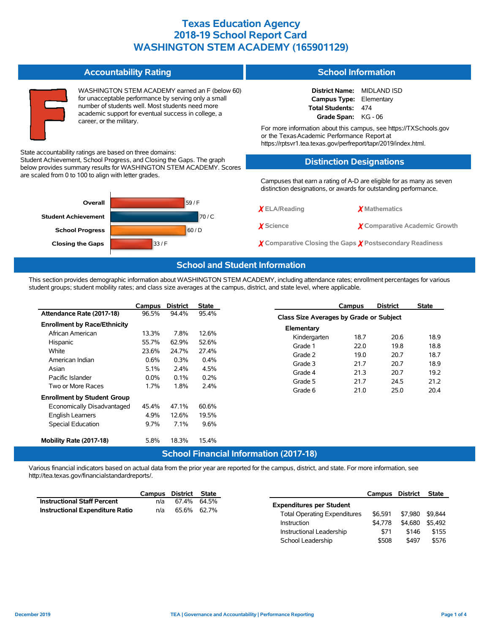|                                                       | <b>Accountability Rating</b>                                                                                                                                                                                                                  | <b>School Information</b>                                                                                                                                                                                                                                                                                               |                               |  |  |  |  |  |  |  |  |
|-------------------------------------------------------|-----------------------------------------------------------------------------------------------------------------------------------------------------------------------------------------------------------------------------------------------|-------------------------------------------------------------------------------------------------------------------------------------------------------------------------------------------------------------------------------------------------------------------------------------------------------------------------|-------------------------------|--|--|--|--|--|--|--|--|
|                                                       | WASHINGTON STEM ACADEMY earned an F (below 60)<br>for unacceptable performance by serving only a small<br>number of students well. Most students need more<br>academic support for eventual success in college, a<br>career, or the military. | <b>District Name:</b><br>MIDLAND ISD<br><b>Campus Type:</b><br>Elementary<br><b>Total Students:</b><br>474<br>Grade Span: KG - 06<br>For more information about this campus, see https://TXSchools.gov<br>or the Texas Academic Performance Report at<br>https://rptsvr1.tea.texas.gov/perfreport/tapr/2019/index.html. |                               |  |  |  |  |  |  |  |  |
|                                                       | State accountability ratings are based on three domains:<br>Student Achievement, School Progress, and Closing the Gaps. The graph                                                                                                             | <b>Distinction Designations</b>                                                                                                                                                                                                                                                                                         |                               |  |  |  |  |  |  |  |  |
| are scaled from 0 to 100 to align with letter grades. | below provides summary results for WASHINGTON STEM ACADEMY. Scores                                                                                                                                                                            | Campuses that earn a rating of A-D are eligible for as many as seven<br>distinction designations, or awards for outstanding performance.                                                                                                                                                                                |                               |  |  |  |  |  |  |  |  |
| Overall                                               | 59/F                                                                                                                                                                                                                                          | $X$ ELA/Reading                                                                                                                                                                                                                                                                                                         | <b>X</b> Mathematics          |  |  |  |  |  |  |  |  |
| <b>Student Achievement</b><br><b>School Progress</b>  | 70/C<br>60/D                                                                                                                                                                                                                                  | X Science                                                                                                                                                                                                                                                                                                               | X Comparative Academic Growth |  |  |  |  |  |  |  |  |
| <b>Closing the Gaps</b>                               | 33/F                                                                                                                                                                                                                                          | $\chi$ Comparative Closing the Gaps $\chi$ Postsecondary Readiness                                                                                                                                                                                                                                                      |                               |  |  |  |  |  |  |  |  |
|                                                       | <b>School and Student Information</b>                                                                                                                                                                                                         |                                                                                                                                                                                                                                                                                                                         |                               |  |  |  |  |  |  |  |  |

This section provides demographic information about WASHINGTON STEM ACADEMY, including attendance rates; enrollment percentages for various student groups; student mobility rates; and class size averages at the campus, district, and state level, where applicable.

|                                                                                                                                             | Campus                                   | <b>District</b>                       | <b>State</b>                          |                                                     | Campus                                         | <b>District</b>                      | <b>State</b>                         |  |  |
|---------------------------------------------------------------------------------------------------------------------------------------------|------------------------------------------|---------------------------------------|---------------------------------------|-----------------------------------------------------|------------------------------------------------|--------------------------------------|--------------------------------------|--|--|
| Attendance Rate (2017-18)                                                                                                                   | 96.5%                                    | 94.4%                                 | 95.4%                                 |                                                     | <b>Class Size Averages by Grade or Subject</b> |                                      |                                      |  |  |
| <b>Enrollment by Race/Ethnicity</b><br>African American<br>Hispanic                                                                         | 13.3%<br>55.7%                           | 7.8%<br>62.9%                         | 12.6%<br>52.6%                        | Elementary<br>Kindergarten<br>Grade 1               | 18.7<br>22.0                                   | 20.6<br>19.8                         | 18.9<br>18.8                         |  |  |
| White<br>American Indian<br>Asian<br>Pacific Islander<br>Two or More Races                                                                  | 23.6%<br>0.6%<br>5.1%<br>$0.0\%$<br>1.7% | 24.7%<br>0.3%<br>2.4%<br>0.1%<br>1.8% | 27.4%<br>0.4%<br>4.5%<br>0.2%<br>2.4% | Grade 2<br>Grade 3<br>Grade 4<br>Grade 5<br>Grade 6 | 19.0<br>21.7<br>21.3<br>21.7<br>21.0           | 20.7<br>20.7<br>20.7<br>24.5<br>25.0 | 18.7<br>18.9<br>19.2<br>21.2<br>20.4 |  |  |
| <b>Enrollment by Student Group</b><br>Economically Disadvantaged<br><b>English Learners</b><br>Special Education<br>Mobility Rate (2017-18) | 45.4%<br>4.9%<br>9.7%<br>5.8%            | 47.1%<br>12.6%<br>7.1%<br>18.3%       | 60.6%<br>19.5%<br>9.6%<br>15.4%       |                                                     |                                                |                                      |                                      |  |  |

#### **School Financial Information (2017-18)**

Various financial indicators based on actual data from the prior year are reported for the campus, district, and state. For more information, see http://tea.texas.gov/financialstandardreports/.

|                                        | Campus | District | State |                                     | Campus  | District        | <b>State</b> |
|----------------------------------------|--------|----------|-------|-------------------------------------|---------|-----------------|--------------|
| <b>Instructional Staff Percent</b>     | n/a    | 67.4%    | 64.5% | <b>Expenditures per Student</b>     |         |                 |              |
| <b>Instructional Expenditure Ratio</b> | n/a    | 65.6%    | 62.7% |                                     |         |                 |              |
|                                        |        |          |       | <b>Total Operating Expenditures</b> | \$6.591 | \$7,980 \$9,844 |              |
|                                        |        |          |       | <b>Instruction</b>                  | \$4.778 | \$4,680 \$5.492 |              |
|                                        |        |          |       | Instructional Leadership            | \$71    | \$146           | \$155        |

School Leadership  $$508$  \$497 \$576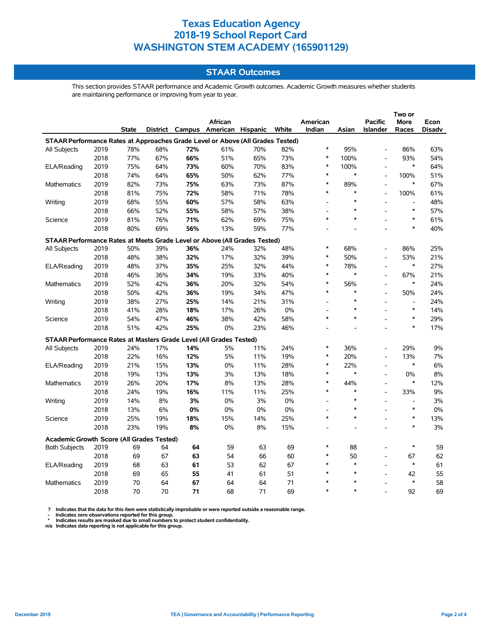### **STAAR Outcomes**

This section provides STAAR performance and Academic Growth outcomes. Academic Growth measures whether students are maintaining performance or improving from year to year.

|                                                                                |      |              |     |     | <b>African</b>                    |     |       | American |        | <b>Pacific</b>           | More           | Econ   |
|--------------------------------------------------------------------------------|------|--------------|-----|-----|-----------------------------------|-----|-------|----------|--------|--------------------------|----------------|--------|
|                                                                                |      | <b>State</b> |     |     | District Campus American Hispanic |     | White | Indian   | Asian  | <b>Islander</b>          | Races          | Disadv |
| STAAR Performance Rates at Approaches Grade Level or Above (All Grades Tested) |      |              |     |     |                                   |     |       |          |        |                          |                |        |
| <b>All Subjects</b>                                                            | 2019 | 78%          | 68% | 72% | 61%                               | 70% | 82%   | $\ast$   | 95%    | $\overline{\phantom{a}}$ | 86%            | 63%    |
|                                                                                | 2018 | 77%          | 67% | 66% | 51%                               | 65% | 73%   | $\ast$   | 100%   | L.                       | 93%            | 54%    |
| ELA/Reading                                                                    | 2019 | 75%          | 64% | 73% | 60%                               | 70% | 83%   | $\ast$   | 100%   | $\overline{a}$           | $\ast$         | 64%    |
|                                                                                | 2018 | 74%          | 64% | 65% | 50%                               | 62% | 77%   | $\ast$   | *      | $\overline{\phantom{a}}$ | 100%           | 51%    |
| <b>Mathematics</b>                                                             | 2019 | 82%          | 73% | 75% | 63%                               | 73% | 87%   | *        | 89%    | $\overline{\phantom{a}}$ | $\ast$         | 67%    |
|                                                                                | 2018 | 81%          | 75% | 72% | 58%                               | 71% | 78%   | $\ast$   | $\ast$ | L,                       | 100%           | 61%    |
| Writing                                                                        | 2019 | 68%          | 55% | 60% | 57%                               | 58% | 63%   |          | $\ast$ | L,                       | $\overline{a}$ | 48%    |
|                                                                                | 2018 | 66%          | 52% | 55% | 58%                               | 57% | 38%   |          | $\ast$ |                          | $\ast$         | 57%    |
| Science                                                                        | 2019 | 81%          | 76% | 71% | 62%                               | 69% | 75%   | $\ast$   | $\ast$ |                          | $\ast$         | 61%    |
|                                                                                | 2018 | 80%          | 69% | 56% | 13%                               | 59% | 77%   |          |        |                          | $\ast$         | 40%    |
| STAAR Performance Rates at Meets Grade Level or Above (All Grades Tested)      |      |              |     |     |                                   |     |       |          |        |                          |                |        |
| All Subjects                                                                   | 2019 | 50%          | 39% | 36% | 24%                               | 32% | 48%   | $\ast$   | 68%    |                          | 86%            | 25%    |
|                                                                                | 2018 | 48%          | 38% | 32% | 17%                               | 32% | 39%   | $\ast$   | 50%    | $\blacksquare$           | 53%            | 21%    |
| ELA/Reading                                                                    | 2019 | 48%          | 37% | 35% | 25%                               | 32% | 44%   | $\ast$   | 78%    | $\overline{a}$           | $\ast$         | 27%    |
|                                                                                | 2018 | 46%          | 36% | 34% | 19%                               | 33% | 40%   | $\ast$   | $\ast$ | $\overline{a}$           | 67%            | 21%    |
| <b>Mathematics</b>                                                             | 2019 | 52%          | 42% | 36% | 20%                               | 32% | 54%   | $\ast$   | 56%    | $\overline{\phantom{a}}$ | $\ast$         | 24%    |
|                                                                                | 2018 | 50%          | 42% | 36% | 19%                               | 34% | 47%   | $\ast$   | $\ast$ | $\overline{a}$           | 50%            | 24%    |
| Writing                                                                        | 2019 | 38%          | 27% | 25% | 14%                               | 21% | 31%   |          | *      | $\overline{a}$           | $\overline{a}$ | 24%    |
|                                                                                | 2018 | 41%          | 28% | 18% | 17%                               | 26% | 0%    |          | $\ast$ | $\overline{a}$           | $\ast$         | 14%    |
| Science                                                                        | 2019 | 54%          | 47% | 46% | 38%                               | 42% | 58%   | $\ast$   | *      | $\blacksquare$           | $\ast$         | 29%    |
|                                                                                | 2018 | 51%          | 42% | 25% | 0%                                | 23% | 46%   |          |        |                          | $\ast$         | 17%    |
| STAAR Performance Rates at Masters Grade Level (All Grades Tested)             |      |              |     |     |                                   |     |       |          |        |                          |                |        |
| All Subjects                                                                   | 2019 | 24%          | 17% | 14% | 5%                                | 11% | 24%   | *        | 36%    | L,                       | 29%            | 9%     |
|                                                                                | 2018 | 22%          | 16% | 12% | 5%                                | 11% | 19%   | $\ast$   | 20%    | $\overline{\phantom{a}}$ | 13%            | 7%     |
| ELA/Reading                                                                    | 2019 | 21%          | 15% | 13% | 0%                                | 11% | 28%   | $\ast$   | 22%    | $\overline{a}$           | $\ast$         | 6%     |
|                                                                                | 2018 | 19%          | 13% | 13% | 3%                                | 13% | 18%   | *        | $\ast$ | $\blacksquare$           | 0%             | 8%     |
| Mathematics                                                                    | 2019 | 26%          | 20% | 17% | 8%                                | 13% | 28%   | $\ast$   | 44%    | $\overline{a}$           | $\ast$         | 12%    |
|                                                                                | 2018 | 24%          | 19% | 16% | 11%                               | 11% | 25%   | $\ast$   | $\ast$ | $\overline{a}$           | 33%            | 9%     |
| Writing                                                                        | 2019 | 14%          | 8%  | 3%  | 0%                                | 3%  | 0%    |          | $\ast$ |                          | $\overline{a}$ | 3%     |
|                                                                                | 2018 | 13%          | 6%  | 0%  | 0%                                | 0%  | 0%    |          | $\ast$ |                          | $\ast$         | 0%     |
| Science                                                                        | 2019 | 25%          | 19% | 18% | 15%                               | 14% | 25%   | $\ast$   | $\ast$ |                          | $\ast$         | 13%    |
|                                                                                | 2018 | 23%          | 19% | 8%  | 0%                                | 8%  | 15%   |          |        | $\overline{a}$           | $\ast$         | 3%     |
| <b>Academic Growth Score (All Grades Tested)</b>                               |      |              |     |     |                                   |     |       |          |        |                          |                |        |
| <b>Both Subjects</b>                                                           | 2019 | 69           | 64  | 64  | 59                                | 63  | 69    | ∗        | 88     |                          | $\ast$         | 59     |
|                                                                                | 2018 | 69           | 67  | 63  | 54                                | 66  | 60    | $\ast$   | 50     | $\overline{a}$           | 67             | 62     |
| ELA/Reading                                                                    | 2019 | 68           | 63  | 61  | 53                                | 62  | 67    | $\ast$   | $\ast$ |                          | $\ast$         | 61     |
|                                                                                | 2018 | 69           | 65  | 55  | 41                                | 61  | 51    | $\ast$   | $\ast$ | L,                       | 42             | 55     |
| <b>Mathematics</b>                                                             | 2019 | 70           | 64  | 67  | 64                                | 64  | 71    |          | $\ast$ |                          | $\ast$         | 58     |
|                                                                                | 2018 | 70           | 70  | 71  | 68                                | 71  | 69    | $\ast$   | $\ast$ |                          | 92             | 69     |

? Indicates that the data for this item were statistically improbable or were reported outside a reasonable range.<br>- Indicates zero observations reported for this group.<br>\* Indicates results are masked due to small numbers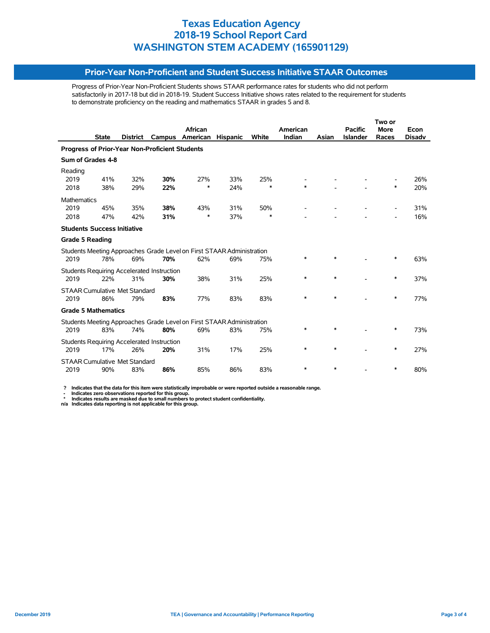#### **Prior-Year Non-Proficient and Student Success Initiative STAAR Outcomes**

Progress of Prior-Year Non-Proficient Students shows STAAR performance rates for students who did not perform satisfactorily in 2017-18 but did in 2018-19. Student Success Initiative shows rates related to the requirement for students to demonstrate proficiency on the reading and mathematics STAAR in grades 5 and 8.

|                        |          |                                                                  | African                                                                      |                                                                                                                                                          |              | American                                                                                                                                       |        | <b>Pacific</b>  | <b>More</b>              | Econ          |
|------------------------|----------|------------------------------------------------------------------|------------------------------------------------------------------------------|----------------------------------------------------------------------------------------------------------------------------------------------------------|--------------|------------------------------------------------------------------------------------------------------------------------------------------------|--------|-----------------|--------------------------|---------------|
| <b>State</b>           | District | Campus                                                           | American                                                                     | <b>Hispanic</b>                                                                                                                                          | <b>White</b> | Indian                                                                                                                                         | Asian  | <b>Islander</b> | Races                    | <b>Disadv</b> |
|                        |          |                                                                  |                                                                              |                                                                                                                                                          |              |                                                                                                                                                |        |                 |                          |               |
| Sum of Grades 4-8      |          |                                                                  |                                                                              |                                                                                                                                                          |              |                                                                                                                                                |        |                 |                          |               |
|                        |          |                                                                  |                                                                              |                                                                                                                                                          |              |                                                                                                                                                |        |                 |                          |               |
| 41%                    | 32%      | 30%                                                              | 27%                                                                          | 33%                                                                                                                                                      | 25%          |                                                                                                                                                |        |                 |                          | 26%           |
| 38%                    | 29%      | 22%                                                              | $\ast$                                                                       | 24%                                                                                                                                                      | $\ast$       | $\ast$                                                                                                                                         |        |                 | $\ast$                   | 20%           |
| <b>Mathematics</b>     |          |                                                                  |                                                                              |                                                                                                                                                          |              |                                                                                                                                                |        |                 |                          |               |
| 45%                    | 35%      | 38%                                                              | 43%                                                                          | 31%                                                                                                                                                      | 50%          |                                                                                                                                                |        |                 |                          | 31%           |
| 47%                    | 42%      | 31%                                                              | *                                                                            | 37%                                                                                                                                                      | $\ast$       |                                                                                                                                                |        |                 | $\overline{\phantom{0}}$ | 16%           |
|                        |          |                                                                  |                                                                              |                                                                                                                                                          |              |                                                                                                                                                |        |                 |                          |               |
| <b>Grade 5 Reading</b> |          |                                                                  |                                                                              |                                                                                                                                                          |              |                                                                                                                                                |        |                 |                          |               |
|                        |          |                                                                  |                                                                              |                                                                                                                                                          |              |                                                                                                                                                |        |                 |                          |               |
| 78%                    | 69%      | 70%                                                              | 62%                                                                          | 69%                                                                                                                                                      | 75%          | *                                                                                                                                              | $\ast$ |                 | *                        | 63%           |
|                        |          |                                                                  |                                                                              |                                                                                                                                                          |              |                                                                                                                                                |        |                 |                          |               |
| 22%                    | 31%      | 30%                                                              | 38%                                                                          | 31%                                                                                                                                                      | 25%          | *                                                                                                                                              | $\ast$ |                 | ∗                        | 37%           |
|                        |          |                                                                  |                                                                              |                                                                                                                                                          |              |                                                                                                                                                |        |                 |                          |               |
| 86%                    | 79%      | 83%                                                              | 77%                                                                          | 83%                                                                                                                                                      | 83%          | $\ast$                                                                                                                                         | $\ast$ |                 | $\ast$                   | 77%           |
|                        |          |                                                                  |                                                                              |                                                                                                                                                          |              |                                                                                                                                                |        |                 |                          |               |
|                        |          |                                                                  |                                                                              |                                                                                                                                                          |              |                                                                                                                                                |        |                 |                          |               |
| 83%                    | 74%      | 80%                                                              | 69%                                                                          | 83%                                                                                                                                                      | 75%          | $\ast$                                                                                                                                         | $\ast$ |                 | $\ast$                   | 73%           |
|                        |          |                                                                  |                                                                              |                                                                                                                                                          |              |                                                                                                                                                |        |                 |                          |               |
| 17%                    | 26%      | 20%                                                              | 31%                                                                          | 17%                                                                                                                                                      | 25%          | $\ast$                                                                                                                                         | $\ast$ |                 | ∗                        | 27%           |
|                        |          |                                                                  |                                                                              |                                                                                                                                                          |              |                                                                                                                                                |        |                 |                          |               |
| 90%                    | 83%      | 86%                                                              | 85%                                                                          | 86%                                                                                                                                                      | 83%          | $\ast$                                                                                                                                         | $\ast$ |                 | *                        | 80%           |
|                        |          | <b>Students Success Initiative</b><br><b>Grade 5 Mathematics</b> | <b>STAAR Cumulative Met Standard</b><br><b>STAAR Cumulative Met Standard</b> | <b>Progress of Prior-Year Non-Proficient Students</b><br><b>Students Requiring Accelerated Instruction</b><br>Students Requiring Accelerated Instruction |              | Students Meeting Approaches Grade Level on First STAAR Administration<br>Students Meeting Approaches Grade Level on First STAAR Administration |        |                 |                          | Two or        |

 **? Indicates that the data for this item were statistically improbable or were reported outside a reasonable range.**

- Indicates zero observations reported for this group.<br>\* Indicates results are masked due to small numbers to protect student confidentiality.<br>n/a Indicates data reporting is not applicable for this group.

j,